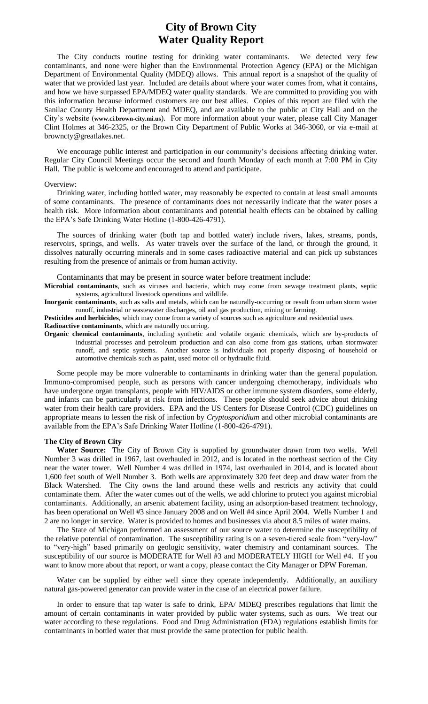# **City of Brown City Water Quality Report**

The City conducts routine testing for drinking water contaminants. We detected very few contaminants, and none were higher than the Environmental Protection Agency (EPA) or the Michigan Department of Environmental Quality (MDEQ) allows. This annual report is a snapshot of the quality of water that we provided last year. Included are details about where your water comes from, what it contains, and how we have surpassed EPA/MDEQ water quality standards. We are committed to providing you with this information because informed customers are our best allies. Copies of this report are filed with the Sanilac County Health Department and MDEQ, and are available to the public at City Hall and on the City's website (**www.ci.brown-city.mi.us**). For more information about your water, please call City Manager Clint Holmes at 346-2325, or the Brown City Department of Public Works at 346-3060, or via e-mail at browncty@greatlakes.net.

We encourage public interest and participation in our community's decisions affecting drinking water. Regular City Council Meetings occur the second and fourth Monday of each month at 7:00 PM in City Hall. The public is welcome and encouraged to attend and participate.

#### Overview:

Drinking water, including bottled water, may reasonably be expected to contain at least small amounts of some contaminants. The presence of contaminants does not necessarily indicate that the water poses a health risk. More information about contaminants and potential health effects can be obtained by calling the EPA's Safe Drinking Water Hotline (1-800-426-4791).

The sources of drinking water (both tap and bottled water) include rivers, lakes, streams, ponds, reservoirs, springs, and wells. As water travels over the surface of the land, or through the ground, it dissolves naturally occurring minerals and in some cases radioactive material and can pick up substances resulting from the presence of animals or from human activity.

Contaminants that may be present in source water before treatment include:

**Microbial contaminants**, such as viruses and bacteria, which may come from sewage treatment plants, septic systems, agricultural livestock operations and wildlife.

**Inorganic contaminants**, such as salts and metals, which can be naturally-occurring or result from urban storm water runoff, industrial or wastewater discharges, oil and gas production, mining or farming.

**Pesticides and herbicides**, which may come from a variety of sources such as agriculture and residential uses.

**Radioactive contaminants**, which are naturally occurring.

**Organic chemical contaminants**, including synthetic and volatile organic chemicals, which are by-products of industrial processes and petroleum production and can also come from gas stations, urban stormwater runoff, and septic systems. Another source is individuals not properly disposing of household or automotive chemicals such as paint, used motor oil or hydraulic fluid.

Some people may be more vulnerable to contaminants in drinking water than the general population. Immuno-compromised people, such as persons with cancer undergoing chemotherapy, individuals who have undergone organ transplants, people with HIV/AIDS or other immune system disorders, some elderly, and infants can be particularly at risk from infections. These people should seek advice about drinking water from their health care providers. EPA and the US Centers for Disease Control (CDC) guidelines on appropriate means to lessen the risk of infection by *Cryptosporidium* and other microbial contaminants are available from the EPA's Safe Drinking Water Hotline (1-800-426-4791).

### **The City of Brown City**

**Water Source:** The City of Brown City is supplied by groundwater drawn from two wells. Well Number 3 was drilled in 1967, last overhauled in 2012, and is located in the northeast section of the City near the water tower. Well Number 4 was drilled in 1974, last overhauled in 2014, and is located about 1,600 feet south of Well Number 3. Both wells are approximately 320 feet deep and draw water from the Black Watershed. The City owns the land around these wells and restricts any activity that could contaminate them. After the water comes out of the wells, we add chlorine to protect you against microbial contaminants. Additionally, an arsenic abatement facility, using an adsorption-based treatment technology, has been operational on Well #3 since January 2008 and on Well #4 since April 2004. Wells Number 1 and 2 are no longer in service. Water is provided to homes and businesses via about 8.5 miles of water mains.

The State of Michigan performed an assessment of our source water to determine the susceptibility of the relative potential of contamination. The susceptibility rating is on a seven-tiered scale from "very-low" to "very-high" based primarily on geologic sensitivity, water chemistry and contaminant sources. The susceptibility of our source is MODERATE for Well #3 and MODERATELY HIGH for Well #4. If you want to know more about that report, or want a copy, please contact the City Manager or DPW Foreman.

Water can be supplied by either well since they operate independently. Additionally, an auxiliary natural gas-powered generator can provide water in the case of an electrical power failure.

In order to ensure that tap water is safe to drink, EPA/ MDEQ prescribes regulations that limit the amount of certain contaminants in water provided by public water systems, such as ours. We treat our water according to these regulations. Food and Drug Administration (FDA) regulations establish limits for contaminants in bottled water that must provide the same protection for public health.